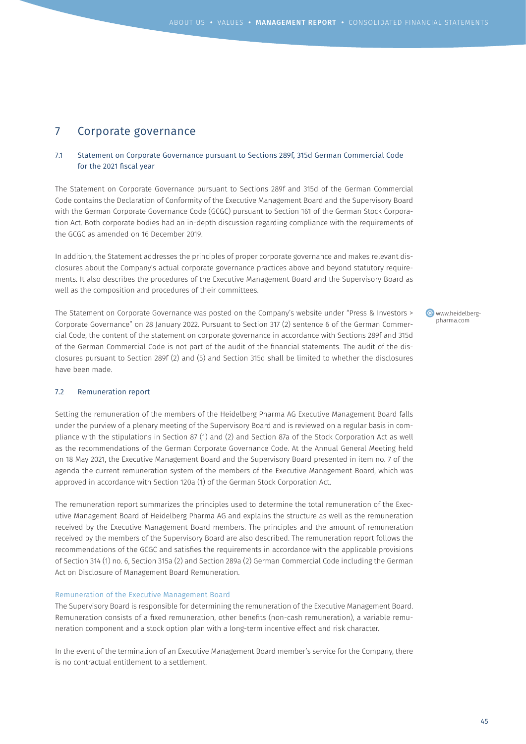# 7 Corporate governance

# 7.1 Statement on Corporate Governance pursuant to Sections 289f, 315d German Commercial Code for the 2021 fiscal year

The Statement on Corporate Governance pursuant to Sections 289f and 315d of the German Commercial Code contains the Declaration of Conformity of the Executive Management Board and the Supervisory Board with the German Corporate Governance Code (GCGC) pursuant to Section 161 of the German Stock Corporation Act. Both corporate bodies had an in-depth discussion regarding compliance with the requirements of the GCGC as amended on 16 December 2019.

In addition, the Statement addresses the principles of proper corporate governance and makes relevant disclosures about the Company's actual corporate governance practices above and beyond statutory requirements. It also describes the procedures of the Executive Management Board and the Supervisory Board as well as the composition and procedures of their committees.

The Statement on Corporate Governance was posted on the Company's website under "Press & Investors > Corporate Governance" on 28 January 2022. Pursuant to Section 317 (2) sentence 6 of the German Commercial Code, the content of the statement on corporate governance in accordance with Sections 289f and 315d of the German Commercial Code is not part of the audit of the financial statements. The audit of the disclosures pursuant to Section 289f (2) and (5) and Section 315d shall be limited to whether the disclosures have been made.

www.heidelbergpharma.com

## 7.2 Remuneration report

Setting the remuneration of the members of the Heidelberg Pharma AG Executive Management Board falls under the purview of a plenary meeting of the Supervisory Board and is reviewed on a regular basis in compliance with the stipulations in Section 87 (1) and (2) and Section 87a of the Stock Corporation Act as well as the recommendations of the German Corporate Governance Code. At the Annual General Meeting held on 18 May 2021, the Executive Management Board and the Supervisory Board presented in item no. 7 of the agenda the current remuneration system of the members of the Executive Management Board, which was approved in accordance with Section 120a (1) of the German Stock Corporation Act.

The remuneration report summarizes the principles used to determine the total remuneration of the Executive Management Board of Heidelberg Pharma AG and explains the structure as well as the remuneration received by the Executive Management Board members. The principles and the amount of remuneration received by the members of the Supervisory Board are also described. The remuneration report follows the recommendations of the GCGC and satisfies the requirements in accordance with the applicable provisions of Section 314 (1) no. 6, Section 315a (2) and Section 289a (2) German Commercial Code including the German Act on Disclosure of Management Board Remuneration.

#### Remuneration of the Executive Management Board

The Supervisory Board is responsible for determining the remuneration of the Executive Management Board. Remuneration consists of a fixed remuneration, other benefits (non-cash remuneration), a variable remuneration component and a stock option plan with a long-term incentive effect and risk character.

In the event of the termination of an Executive Management Board member's service for the Company, there is no contractual entitlement to a settlement.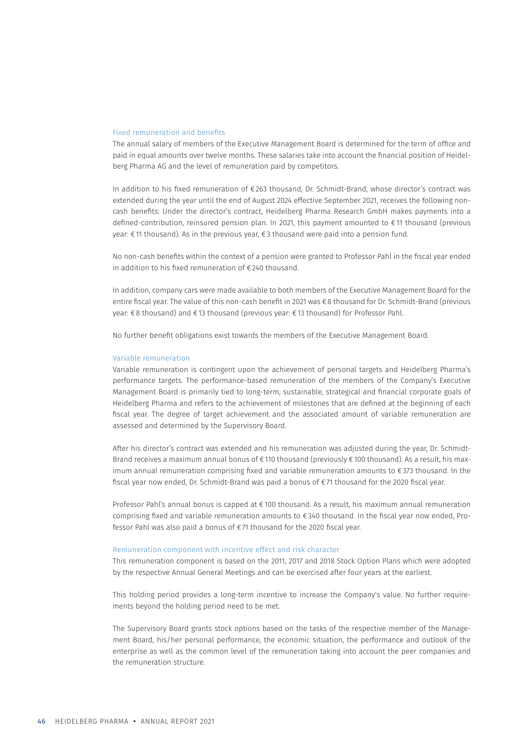## Fixed remuneration and benefits

The annual salary of members of the Executive Management Board is determined for the term of office and paid in equal amounts over twelve months. These salaries take into account the financial position of Heidelberg Pharma AG and the level of remuneration paid by competitors.

In addition to his fixed remuneration of €263 thousand, Dr. Schmidt-Brand, whose director's contract was extended during the year until the end of August 2024 effective September 2021, receives the following noncash benefits: Under the director's contract, Heidelberg Pharma Research GmbH makes payments into a defined-contribution, reinsured pension plan. In 2021, this payment amounted to €11 thousand (previous year: €11 thousand). As in the previous year, €3 thousand were paid into a pension fund.

No non-cash benefits within the context of a pension were granted to Professor Pahl in the fiscal year ended in addition to his fixed remuneration of €240 thousand.

In addition, company cars were made available to both members of the Executive Management Board for the entire fiscal year. The value of this non-cash benefit in 2021 was €8 thousand for Dr. Schmidt-Brand (previous year: €8 thousand) and €13 thousand (previous year: €13 thousand) for Professor Pahl.

No further benefit obligations exist towards the members of the Executive Management Board.

### Variable remuneration

Variable remuneration is contingent upon the achievement of personal targets and Heidelberg Pharma's performance targets. The performance-based remuneration of the members of the Company's Executive Management Board is primarily tied to long-term, sustainable, strategical and financial corporate goals of Heidelberg Pharma and refers to the achievement of milestones that are defined at the beginning of each fiscal year. The degree of target achievement and the associated amount of variable remuneration are assessed and determined by the Supervisory Board.

After his director's contract was extended and his remuneration was adjusted during the year, Dr. Schmidt-Brand receives a maximum annual bonus of €110 thousand (previously €100 thousand). As a result, his maximum annual remuneration comprising fixed and variable remuneration amounts to €373 thousand. In the fiscal year now ended, Dr. Schmidt-Brand was paid a bonus of €71 thousand for the 2020 fiscal year.

Professor Pahl's annual bonus is capped at €100 thousand. As a result, his maximum annual remuneration comprising fixed and variable remuneration amounts to €340 thousand. In the fiscal year now ended, Professor Pahl was also paid a bonus of €71 thousand for the 2020 fiscal year.

#### Remuneration component with incentive effect and risk character

This remuneration component is based on the 2011, 2017 and 2018 Stock Option Plans which were adopted by the respective Annual General Meetings and can be exercised after four years at the earliest.

This holding period provides a long-term incentive to increase the Company's value. No further requirements beyond the holding period need to be met.

The Supervisory Board grants stock options based on the tasks of the respective member of the Management Board, his/her personal performance, the economic situation, the performance and outlook of the enterprise as well as the common level of the remuneration taking into account the peer companies and the remuneration structure.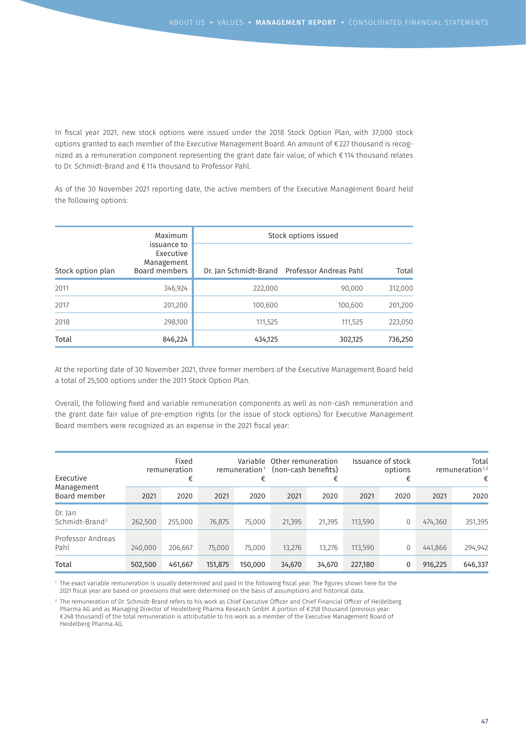In fiscal year 2021, new stock options were issued under the 2018 Stock Option Plan, with 37,000 stock options granted to each member of the Executive Management Board. An amount of €227 thousand is recognized as a remuneration component representing the grant date fair value, of which €114 thousand relates to Dr. Schmidt-Brand and €114 thousand to Professor Pahl.

As of the 30 November 2021 reporting date, the active members of the Executive Management Board held the following options:

|                   | Maximum                                                 | Stock options issued |                                              |         |  |  |  |
|-------------------|---------------------------------------------------------|----------------------|----------------------------------------------|---------|--|--|--|
| Stock option plan | issuance to<br>Executive<br>Management<br>Board members |                      | Dr. Jan Schmidt-Brand Professor Andreas Pahl | Total   |  |  |  |
| 2011              | 346,924                                                 | 222,000              | 90.000                                       | 312,000 |  |  |  |
| 2017              | 201,200                                                 | 100,600              | 100.600                                      | 201,200 |  |  |  |
| 2018              | 298,100                                                 | 111,525              | 111,525                                      | 223,050 |  |  |  |
| Total             | 846,224                                                 | 434,125              | 302,125                                      | 736,250 |  |  |  |

At the reporting date of 30 November 2021, three former members of the Executive Management Board held a total of 25,500 options under the 2011 Stock Option Plan.

Overall, the following fixed and variable remuneration components as well as non-cash remuneration and the grant date fair value of pre-emption rights (or the issue of stock options) for Executive Management Board members were recognized as an expense in the 2021 fiscal year:

| Fixed<br>remuneration<br>Executive<br>€ |         | remuneration <sup>1</sup><br>€ |         | Variable Other remuneration<br>(non-cash benefits)<br>€ |        | Issuance of stock<br>options<br>€ |         | Total<br>remuneration <sup>1,2</sup><br>€ |         |         |
|-----------------------------------------|---------|--------------------------------|---------|---------------------------------------------------------|--------|-----------------------------------|---------|-------------------------------------------|---------|---------|
| Management<br>Board member              | 2021    | 2020                           | 2021    | 2020                                                    | 2021   | 2020                              | 2021    | 2020                                      | 2021    | 2020    |
| Dr. Jan<br>Schmidt-Brand <sup>2</sup>   | 262,500 | 255,000                        | 76,875  | 75,000                                                  | 21,395 | 21,395                            | 113,590 | 0                                         | 474,360 | 351,395 |
| Professor Andreas<br>Pahl               | 240,000 | 206,667                        | 75,000  | 75,000                                                  | 13,276 | 13,276                            | 113,590 | $\Omega$                                  | 441,866 | 294,942 |
| Total                                   | 502,500 | 461,667                        | 151,875 | 150,000                                                 | 34,670 | 34,670                            | 227,180 | 0                                         | 916,225 | 646,337 |

1 The exact variable remuneration is usually determined and paid in the following fiscal year. The figures shown here for the 2021 fiscal year are based on provisions that were determined on the basis of assumptions and historical data.

2 The remuneration of Dr. Schmidt-Brand refers to his work as Chief Executive Officer and Chief Financial Officer of Heidelberg Pharma AG and as Managing Director of Heidelberg Pharma Research GmbH. A portion of €258 thousand (previous year: €248 thousand) of the total remuneration is attributable to his work as a member of the Executive Management Board of Heidelberg Pharma AG.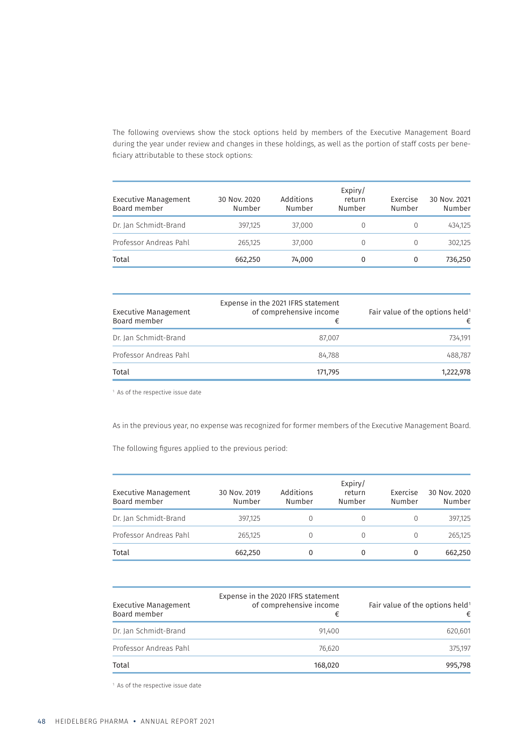The following overviews show the stock options held by members of the Executive Management Board during the year under review and changes in these holdings, as well as the portion of staff costs per beneficiary attributable to these stock options:

| <b>Executive Management</b><br>Board member | 30 Nov. 2020<br>Number | Additions<br>Number | Expiry/<br>return<br>Number | Exercise<br>Number | 30 Nov. 2021<br>Number |
|---------------------------------------------|------------------------|---------------------|-----------------------------|--------------------|------------------------|
| Dr. Jan Schmidt-Brand                       | 397,125                | 37,000              | $\Omega$                    |                    | 434,125                |
| Professor Andreas Pahl                      | 265,125                | 37,000              | $\Omega$                    |                    | 302.125                |
| Total                                       | 662,250                | 74,000              | 0                           | 0                  | 736,250                |

| <b>Executive Management</b><br>Board member | Expense in the 2021 IFRS statement<br>of comprehensive income<br>€ | Fair value of the options held <sup>1</sup><br>€ |
|---------------------------------------------|--------------------------------------------------------------------|--------------------------------------------------|
| Dr. Jan Schmidt-Brand                       | 87.007                                                             | 734.191                                          |
| Professor Andreas Pahl                      | 84.788                                                             | 488.787                                          |
| Total                                       | 171,795                                                            | 1,222,978                                        |

<sup>1</sup> As of the respective issue date

As in the previous year, no expense was recognized for former members of the Executive Management Board.

The following figures applied to the previous period:

| Executive Management<br>Board member | 30 Nov. 2019<br>Number | Additions<br>Number | Expiry/<br>return<br>Number | Exercise<br>Number | 30 Nov. 2020<br>Number |
|--------------------------------------|------------------------|---------------------|-----------------------------|--------------------|------------------------|
| Dr. Jan Schmidt-Brand                | 397.125                |                     |                             |                    | 397.125                |
| Professor Andreas Pahl               | 265,125                |                     | $\left( \right)$            |                    | 265,125                |
| Total                                | 662,250                |                     | 0                           | 0                  | 662.250                |

| Executive Management<br>Board member | Expense in the 2020 IFRS statement<br>of comprehensive income<br>€ | Fair value of the options held <sup>1</sup><br>€ |
|--------------------------------------|--------------------------------------------------------------------|--------------------------------------------------|
| Dr. Jan Schmidt-Brand                | 91.400                                                             | 620,601                                          |
| Professor Andreas Pahl               | 76.620                                                             | 375.197                                          |
| Total                                | 168,020                                                            | 995.798                                          |

<sup>1</sup> As of the respective issue date